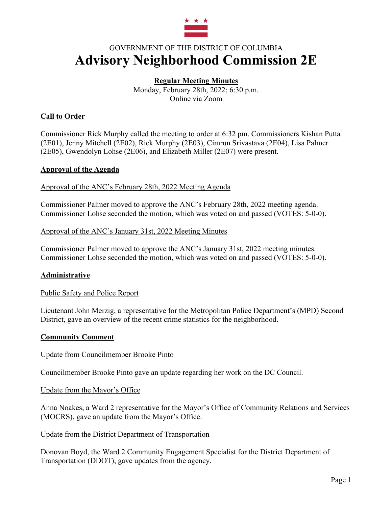

# GOVERNMENT OF THE DISTRICT OF COLUMBIA **Advisory Neighborhood Commission 2E**

# **Regular Meeting Minutes**

Monday, February 28th, 2022; 6:30 p.m. Online via Zoom

# **Call to Order**

Commissioner Rick Murphy called the meeting to order at 6:32 pm. Commissioners Kishan Putta (2E01), Jenny Mitchell (2E02), Rick Murphy (2E03), Cimrun Srivastava (2E04), Lisa Palmer (2E05), Gwendolyn Lohse (2E06), and Elizabeth Miller (2E07) were present.

# **Approval of the Agenda**

# Approval of the ANC's February 28th, 2022 Meeting Agenda

Commissioner Palmer moved to approve the ANC's February 28th, 2022 meeting agenda. Commissioner Lohse seconded the motion, which was voted on and passed (VOTES: 5-0-0).

# Approval of the ANC's January 31st, 2022 Meeting Minutes

Commissioner Palmer moved to approve the ANC's January 31st, 2022 meeting minutes. Commissioner Lohse seconded the motion, which was voted on and passed (VOTES: 5-0-0).

# **Administrative**

#### Public Safety and Police Report

Lieutenant John Merzig, a representative for the Metropolitan Police Department's (MPD) Second District, gave an overview of the recent crime statistics for the neighborhood.

#### **Community Comment**

#### Update from Councilmember Brooke Pinto

Councilmember Brooke Pinto gave an update regarding her work on the DC Council.

#### Update from the Mayor's Office

Anna Noakes, a Ward 2 representative for the Mayor's Office of Community Relations and Services (MOCRS), gave an update from the Mayor's Office.

#### Update from the District Department of Transportation

Donovan Boyd, the Ward 2 Community Engagement Specialist for the District Department of Transportation (DDOT), gave updates from the agency.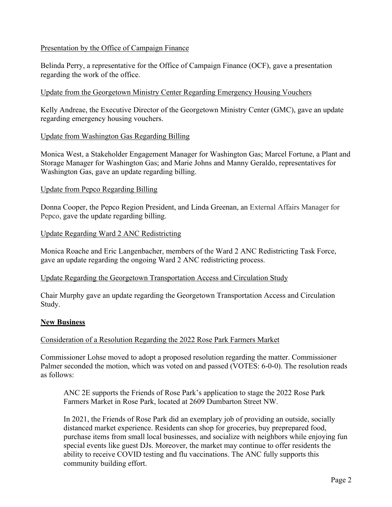# Presentation by the Office of Campaign Finance

Belinda Perry, a representative for the Office of Campaign Finance (OCF), gave a presentation regarding the work of the office.

#### Update from the Georgetown Ministry Center Regarding Emergency Housing Vouchers

Kelly Andreae, the Executive Director of the Georgetown Ministry Center (GMC), gave an update regarding emergency housing vouchers.

# Update from Washington Gas Regarding Billing

Monica West, a Stakeholder Engagement Manager for Washington Gas; Marcel Fortune, a Plant and Storage Manager for Washington Gas; and Marie Johns and Manny Geraldo, representatives for Washington Gas, gave an update regarding billing.

# Update from Pepco Regarding Billing

Donna Cooper, the Pepco Region President, and Linda Greenan, an External Affairs Manager for Pepco, gave the update regarding billing.

# Update Regarding Ward 2 ANC Redistricting

Monica Roache and Eric Langenbacher, members of the Ward 2 ANC Redistricting Task Force, gave an update regarding the ongoing Ward 2 ANC redistricting process.

#### Update Regarding the Georgetown Transportation Access and Circulation Study

Chair Murphy gave an update regarding the Georgetown Transportation Access and Circulation Study.

# **New Business**

# Consideration of a Resolution Regarding the 2022 Rose Park Farmers Market

Commissioner Lohse moved to adopt a proposed resolution regarding the matter. Commissioner Palmer seconded the motion, which was voted on and passed (VOTES: 6-0-0). The resolution reads as follows:

ANC 2E supports the Friends of Rose Park's application to stage the 2022 Rose Park Farmers Market in Rose Park, located at 2609 Dumbarton Street NW.

In 2021, the Friends of Rose Park did an exemplary job of providing an outside, socially distanced market experience. Residents can shop for groceries, buy preprepared food, purchase items from small local businesses, and socialize with neighbors while enjoying fun special events like guest DJs. Moreover, the market may continue to offer residents the ability to receive COVID testing and flu vaccinations. The ANC fully supports this community building effort.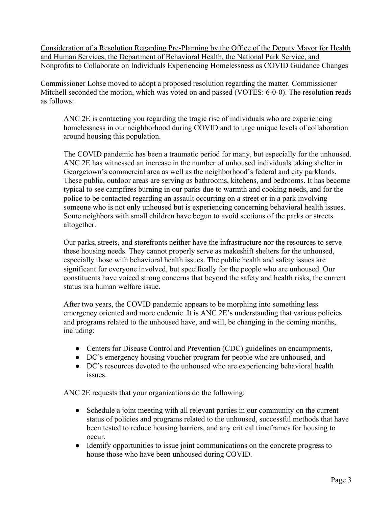Consideration of a Resolution Regarding Pre-Planning by the Office of the Deputy Mayor for Health and Human Services, the Department of Behavioral Health, the National Park Service, and Nonprofits to Collaborate on Individuals Experiencing Homelessness as COVID Guidance Changes

Commissioner Lohse moved to adopt a proposed resolution regarding the matter. Commissioner Mitchell seconded the motion, which was voted on and passed (VOTES: 6-0-0). The resolution reads as follows:

ANC 2E is contacting you regarding the tragic rise of individuals who are experiencing homelessness in our neighborhood during COVID and to urge unique levels of collaboration around housing this population.

The COVID pandemic has been a traumatic period for many, but especially for the unhoused. ANC 2E has witnessed an increase in the number of unhoused individuals taking shelter in Georgetown's commercial area as well as the neighborhood's federal and city parklands. These public, outdoor areas are serving as bathrooms, kitchens, and bedrooms. It has become typical to see campfires burning in our parks due to warmth and cooking needs, and for the police to be contacted regarding an assault occurring on a street or in a park involving someone who is not only unhoused but is experiencing concerning behavioral health issues. Some neighbors with small children have begun to avoid sections of the parks or streets altogether.

Our parks, streets, and storefronts neither have the infrastructure nor the resources to serve these housing needs. They cannot properly serve as makeshift shelters for the unhoused, especially those with behavioral health issues. The public health and safety issues are significant for everyone involved, but specifically for the people who are unhoused. Our constituents have voiced strong concerns that beyond the safety and health risks, the current status is a human welfare issue.

After two years, the COVID pandemic appears to be morphing into something less emergency oriented and more endemic. It is ANC 2E's understanding that various policies and programs related to the unhoused have, and will, be changing in the coming months, including:

- Centers for Disease Control and Prevention (CDC) guidelines on encampments,
- DC's emergency housing voucher program for people who are unhoused, and
- DC's resources devoted to the unhoused who are experiencing behavioral health issues.

ANC 2E requests that your organizations do the following:

- Schedule a joint meeting with all relevant parties in our community on the current status of policies and programs related to the unhoused, successful methods that have been tested to reduce housing barriers, and any critical timeframes for housing to occur.
- Identify opportunities to issue joint communications on the concrete progress to house those who have been unhoused during COVID.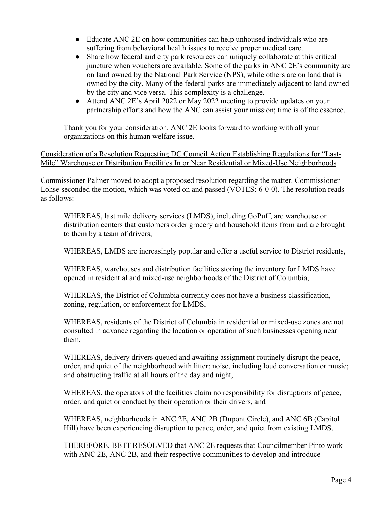- Educate ANC 2E on how communities can help unhoused individuals who are suffering from behavioral health issues to receive proper medical care.
- Share how federal and city park resources can uniquely collaborate at this critical juncture when vouchers are available. Some of the parks in ANC 2E's community are on land owned by the National Park Service (NPS), while others are on land that is owned by the city. Many of the federal parks are immediately adjacent to land owned by the city and vice versa. This complexity is a challenge.
- Attend ANC 2E's April 2022 or May 2022 meeting to provide updates on your partnership efforts and how the ANC can assist your mission; time is of the essence.

Thank you for your consideration. ANC 2E looks forward to working with all your organizations on this human welfare issue.

Consideration of a Resolution Requesting DC Council Action Establishing Regulations for "Last-Mile" Warehouse or Distribution Facilities In or Near Residential or Mixed-Use Neighborhoods

Commissioner Palmer moved to adopt a proposed resolution regarding the matter. Commissioner Lohse seconded the motion, which was voted on and passed (VOTES: 6-0-0). The resolution reads as follows:

WHEREAS, last mile delivery services (LMDS), including GoPuff, are warehouse or distribution centers that customers order grocery and household items from and are brought to them by a team of drivers,

WHEREAS, LMDS are increasingly popular and offer a useful service to District residents,

WHEREAS, warehouses and distribution facilities storing the inventory for LMDS have opened in residential and mixed-use neighborhoods of the District of Columbia,

WHEREAS, the District of Columbia currently does not have a business classification, zoning, regulation, or enforcement for LMDS,

WHEREAS, residents of the District of Columbia in residential or mixed-use zones are not consulted in advance regarding the location or operation of such businesses opening near them,

WHEREAS, delivery drivers queued and awaiting assignment routinely disrupt the peace, order, and quiet of the neighborhood with litter; noise, including loud conversation or music; and obstructing traffic at all hours of the day and night,

WHEREAS, the operators of the facilities claim no responsibility for disruptions of peace, order, and quiet or conduct by their operation or their drivers, and

WHEREAS, neighborhoods in ANC 2E, ANC 2B (Dupont Circle), and ANC 6B (Capitol Hill) have been experiencing disruption to peace, order, and quiet from existing LMDS.

THEREFORE, BE IT RESOLVED that ANC 2E requests that Councilmember Pinto work with ANC 2E, ANC 2B, and their respective communities to develop and introduce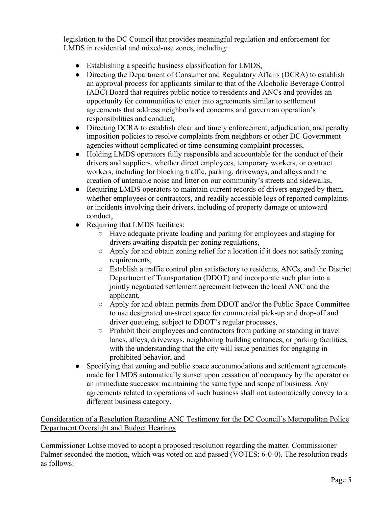legislation to the DC Council that provides meaningful regulation and enforcement for LMDS in residential and mixed-use zones, including:

- Establishing a specific business classification for LMDS,
- Directing the Department of Consumer and Regulatory Affairs (DCRA) to establish an approval process for applicants similar to that of the Alcoholic Beverage Control (ABC) Board that requires public notice to residents and ANCs and provides an opportunity for communities to enter into agreements similar to settlement agreements that address neighborhood concerns and govern an operation's responsibilities and conduct,
- Directing DCRA to establish clear and timely enforcement, adjudication, and penalty imposition policies to resolve complaints from neighbors or other DC Government agencies without complicated or time-consuming complaint processes,
- Holding LMDS operators fully responsible and accountable for the conduct of their drivers and suppliers, whether direct employees, temporary workers, or contract workers, including for blocking traffic, parking, driveways, and alleys and the creation of untenable noise and litter on our community's streets and sidewalks,
- Requiring LMDS operators to maintain current records of drivers engaged by them, whether employees or contractors, and readily accessible logs of reported complaints or incidents involving their drivers, including of property damage or untoward conduct,
- Requiring that LMDS facilities:
	- Have adequate private loading and parking for employees and staging for drivers awaiting dispatch per zoning regulations,
	- Apply for and obtain zoning relief for a location if it does not satisfy zoning requirements,
	- Establish a traffic control plan satisfactory to residents, ANCs, and the District Department of Transportation (DDOT) and incorporate such plan into a jointly negotiated settlement agreement between the local ANC and the applicant,
	- Apply for and obtain permits from DDOT and/or the Public Space Committee to use designated on-street space for commercial pick-up and drop-off and driver queueing, subject to DDOT's regular processes,
	- Prohibit their employees and contractors from parking or standing in travel lanes, alleys, driveways, neighboring building entrances, or parking facilities, with the understanding that the city will issue penalties for engaging in prohibited behavior, and
- Specifying that zoning and public space accommodations and settlement agreements made for LMDS automatically sunset upon cessation of occupancy by the operator or an immediate successor maintaining the same type and scope of business. Any agreements related to operations of such business shall not automatically convey to a different business category.

Consideration of a Resolution Regarding ANC Testimony for the DC Council's Metropolitan Police Department Oversight and Budget Hearings

Commissioner Lohse moved to adopt a proposed resolution regarding the matter. Commissioner Palmer seconded the motion, which was voted on and passed (VOTES: 6-0-0). The resolution reads as follows: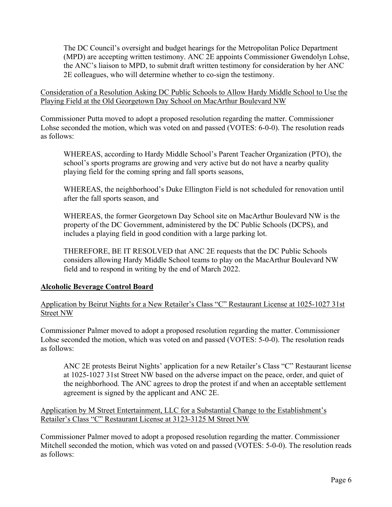The DC Council's oversight and budget hearings for the Metropolitan Police Department (MPD) are accepting written testimony. ANC 2E appoints Commissioner Gwendolyn Lohse, the ANC's liaison to MPD, to submit draft written testimony for consideration by her ANC 2E colleagues, who will determine whether to co-sign the testimony.

Consideration of a Resolution Asking DC Public Schools to Allow Hardy Middle School to Use the Playing Field at the Old Georgetown Day School on MacArthur Boulevard NW

Commissioner Putta moved to adopt a proposed resolution regarding the matter. Commissioner Lohse seconded the motion, which was voted on and passed (VOTES: 6-0-0). The resolution reads as follows:

WHEREAS, according to Hardy Middle School's Parent Teacher Organization (PTO), the school's sports programs are growing and very active but do not have a nearby quality playing field for the coming spring and fall sports seasons,

WHEREAS, the neighborhood's Duke Ellington Field is not scheduled for renovation until after the fall sports season, and

WHEREAS, the former Georgetown Day School site on MacArthur Boulevard NW is the property of the DC Government, administered by the DC Public Schools (DCPS), and includes a playing field in good condition with a large parking lot.

THEREFORE, BE IT RESOLVED that ANC 2E requests that the DC Public Schools considers allowing Hardy Middle School teams to play on the MacArthur Boulevard NW field and to respond in writing by the end of March 2022.

# **Alcoholic Beverage Control Board**

# Application by Beirut Nights for a New Retailer's Class "C" Restaurant License at 1025-1027 31st Street NW

Commissioner Palmer moved to adopt a proposed resolution regarding the matter. Commissioner Lohse seconded the motion, which was voted on and passed (VOTES: 5-0-0). The resolution reads as follows:

ANC 2E protests Beirut Nights' application for a new Retailer's Class "C" Restaurant license at 1025-1027 31st Street NW based on the adverse impact on the peace, order, and quiet of the neighborhood. The ANC agrees to drop the protest if and when an acceptable settlement agreement is signed by the applicant and ANC 2E.

# Application by M Street Entertainment, LLC for a Substantial Change to the Establishment's Retailer's Class "C" Restaurant License at 3123-3125 M Street NW

Commissioner Palmer moved to adopt a proposed resolution regarding the matter. Commissioner Mitchell seconded the motion, which was voted on and passed (VOTES: 5-0-0). The resolution reads as follows: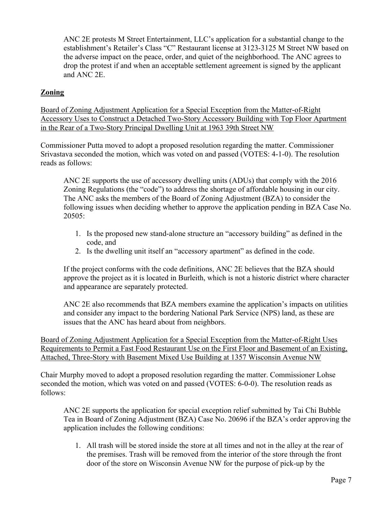ANC 2E protests M Street Entertainment, LLC's application for a substantial change to the establishment's Retailer's Class "C" Restaurant license at 3123-3125 M Street NW based on the adverse impact on the peace, order, and quiet of the neighborhood. The ANC agrees to drop the protest if and when an acceptable settlement agreement is signed by the applicant and ANC 2E.

# **Zoning**

Board of Zoning Adjustment Application for a Special Exception from the Matter-of-Right Accessory Uses to Construct a Detached Two-Story Accessory Building with Top Floor Apartment in the Rear of a Two-Story Principal Dwelling Unit at 1963 39th Street NW

Commissioner Putta moved to adopt a proposed resolution regarding the matter. Commissioner Srivastava seconded the motion, which was voted on and passed (VOTES: 4-1-0). The resolution reads as follows:

ANC 2E supports the use of accessory dwelling units (ADUs) that comply with the 2016 Zoning Regulations (the "code") to address the shortage of affordable housing in our city. The ANC asks the members of the Board of Zoning Adjustment (BZA) to consider the following issues when deciding whether to approve the application pending in BZA Case No. 20505:

- 1. Is the proposed new stand-alone structure an "accessory building" as defined in the code, and
- 2. Is the dwelling unit itself an "accessory apartment" as defined in the code.

If the project conforms with the code definitions, ANC 2E believes that the BZA should approve the project as it is located in Burleith, which is not a historic district where character and appearance are separately protected.

ANC 2E also recommends that BZA members examine the application's impacts on utilities and consider any impact to the bordering National Park Service (NPS) land, as these are issues that the ANC has heard about from neighbors.

Board of Zoning Adjustment Application for a Special Exception from the Matter-of-Right Uses Requirements to Permit a Fast Food Restaurant Use on the First Floor and Basement of an Existing, Attached, Three-Story with Basement Mixed Use Building at 1357 Wisconsin Avenue NW

Chair Murphy moved to adopt a proposed resolution regarding the matter. Commissioner Lohse seconded the motion, which was voted on and passed (VOTES: 6-0-0). The resolution reads as follows:

ANC 2E supports the application for special exception relief submitted by Tai Chi Bubble Tea in Board of Zoning Adjustment (BZA) Case No. 20696 if the BZA's order approving the application includes the following conditions:

1. All trash will be stored inside the store at all times and not in the alley at the rear of the premises. Trash will be removed from the interior of the store through the front door of the store on Wisconsin Avenue NW for the purpose of pick-up by the